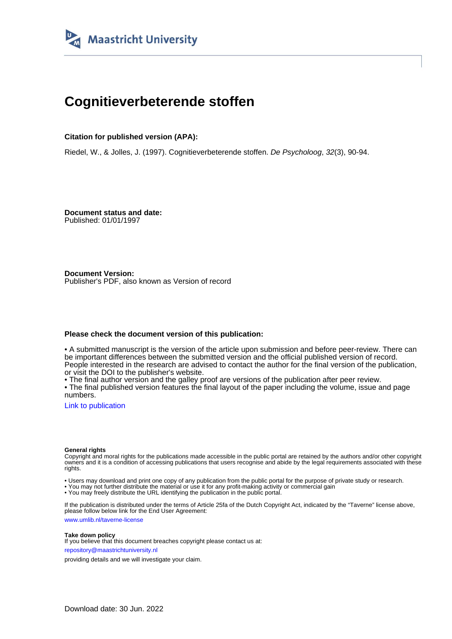

# **Cognitieverbeterende stoffen**

## **Citation for published version (APA):**

Riedel, W., & Jolles, J. (1997). Cognitieverbeterende stoffen. De Psycholoog, 32(3), 90-94.

**Document status and date:** Published: 01/01/1997

**Document Version:** Publisher's PDF, also known as Version of record

## **Please check the document version of this publication:**

• A submitted manuscript is the version of the article upon submission and before peer-review. There can be important differences between the submitted version and the official published version of record. People interested in the research are advised to contact the author for the final version of the publication, or visit the DOI to the publisher's website.

• The final author version and the galley proof are versions of the publication after peer review.

• The final published version features the final layout of the paper including the volume, issue and page numbers.

[Link to publication](https://cris.maastrichtuniversity.nl/en/publications/316b9db3-cf84-4d3c-9e2a-fc23f7316239)

#### **General rights**

Copyright and moral rights for the publications made accessible in the public portal are retained by the authors and/or other copyright owners and it is a condition of accessing publications that users recognise and abide by the legal requirements associated with these rights.

• Users may download and print one copy of any publication from the public portal for the purpose of private study or research.

• You may not further distribute the material or use it for any profit-making activity or commercial gain

• You may freely distribute the URL identifying the publication in the public portal.

If the publication is distributed under the terms of Article 25fa of the Dutch Copyright Act, indicated by the "Taverne" license above, please follow below link for the End User Agreement:

www.umlib.nl/taverne-license

## **Take down policy**

If you believe that this document breaches copyright please contact us at: repository@maastrichtuniversity.nl

providing details and we will investigate your claim.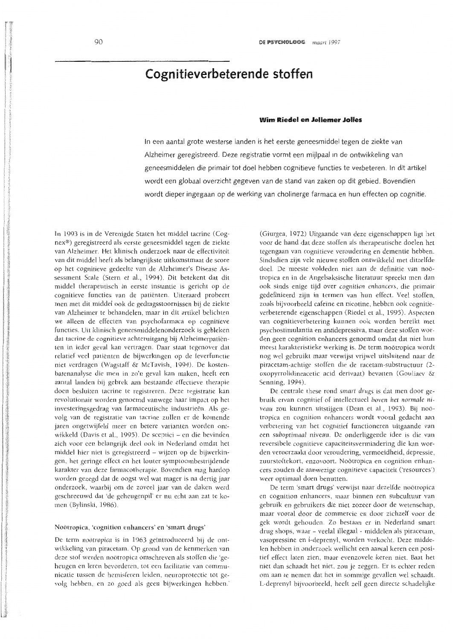## Cognitieverbeterende stoffen

## Wim Riedel en Jellemer Jolles

In een aantal grote westerse landen is het eerste geneesmiddel tegen de ziekte van Alzheimer geregistreerd. Deze registratie vormt een mijlpaal in de ontwikkeling van geneesmiddelen die primair tot doel hebben cognitieve functies te verbeteren. In dit artikel wordt een globaal overzicht gegeven van de stand van zaken op dit gebied. Bovendien wordt dieper ingegaan op de werking van cholinerge farmaca en hun effecten op cognitie.

In 1993 is in de Verenigde Staten het middel tacrine (Cognex®) geregistreerd als eerste geneesmiddel tegen de ziekte van Alzheimer. Het klinisch onderzoek naar de effectiviteit van dit middel heeft als belangrijkste uitkomstmaat de score op het cognitieve gedeelte van de Alzheimer's Disease Assessment Scale (Stern et al., 1994). Dit betekent dat dit middel therapeutisch in eerste instantie is gericht op de cognitieve functies van de patiënten. Uiteraard probeert men met dit middel ook de gedragsstoornissen bij de ziekte van Alzheimer te behandelen, maar in dit artikel belichten we alleen de effecten van psychofarmaca op cognitieve functies. Uit klinisch geneesmiddelenonderzoek is gebleken dat tacrine de cognitieve achteruitgang bij Alzheimerpatiënten in ieder geval kan vertragen. Daar staat tegenover dat relatief veel patiënten de bijwerkingen op de leverfunctie niet verdragen (Wagstaff & McTavish, 1994). De kostenbatenanalyse die men in zo'n geval kan maken, heeft een aantal landen bij gebrek aan bestaande effectieve therapie doen besluiten tacrine te registreren. Deze registratie kan revolutionair worden genoemd vanwege haar impact op het investeringsgedrag van farmaceutische industrieën. Als gevolg van de registratie van tacrine zullen er de komende jaren ongetwijfeld meer en betere varianten worden ontwikkeld (Davis et al., 1995). De sceptici - en die bevinden zich voor een belangrijk deel ook in Nederland omdat het middel hier niet is geregistreerd - wijzen op de bijwerkingen, het geringe effect en het louter symptoombestrijdende karakter van deze farmacotherapie. Bovendien mag hardop worden gezegd dat de oogst wel wat mager is na dertig jaar onderzoek, waarbij om de zoveel jaar van de daken werd geschreeuwd dat 'de geheugenpil' er nu echt aan zat te komen (Bylinski, 1986).

#### Noötropica, 'cognition enhancers' en 'smart drugs'

De term noõtropica is in 1963 geïntroduceerd bij de ontwikkeling van piracetam. Op grond van de kenmerken van deze stof werden noötropica omschreven als stoffen die 'geheugen en leren bevorderen, tot een facilitatie van communicatie tussen de hemisferen leiden, neuroprotectie tot gevolg hebben, en zo goed als geen bijwerkingen hebben.'

(Giurgea, 1972) Uitgaande van deze eigenschappen ligt het voor de hand dat deze stoffen als therapeutische doelen het tegengaan van cognitieve veroudering en dementie hebben. Sindsdien zijn vele nieuwe stoffen ontwikkeld met ditzelfde doel. De meeste voldeden niet aan de definitie van noötropica en in de Angelsaksische literatuur spreekt men dan ook sinds enige tijd over cognition enhancers, die primair gedefinieerd zijn in termen van hun effect. Veel stoffen, zoals bijvoorbeeld cafeïne en nicotine, hebben ook cognitieverbeterende eigenschappen (Riedel et al., 1995). Aspecten van cognitieverbetering kunnen ook worden bereikt met psychostimulantia en antidepressiva, maar deze stoffen worden geen cognition enhancers genoemd omdat dat niet hun meest karakteristieke werking is. De term noötropica wordt nog wel gebruikt maar verwijst vrijwel uitsluitend naar de piracetam-achtige stoffen die de racetam-substructuur (2oxopyrrolidineacetic acid derivaat) bevatten (Gouliaev & Senning, 1994).

De centrale these rond smart drugs is dat men door gebruik ervan cognitief of intellectueel boven het normale niveau zou kunnen uitstijgen (Dean et al., 1993). Bij noötropica en cognition enhancers wordt vooral gedacht aan verbetering van het cognitief functioneren uitgaande van een suboptimaal niveau. De onderliggende idee is die van reversibele cognitieve capaciteitsvermindering die kan worden veroorzaakt door veroudering, vermoeidheid, depressie, zuurstoftekort, enzovoort. Noötropica en cognition enhancers zouden de aanwezige cognitieve capaciteit ('resources') weer optimaal doen benutten.

De term 'smart drugs' verwijst naar dezelfde noötropica en cognition enhancers, maar binnen een subcultuur van gebruik en gebruikers die niet zozeer door de wetenschap, maar vooral door de commercie en door zichzelf voor de gek wordt gehouden. Zo bestaan er in Nederland smart drug shops, waar - veelal illegaal - middelen als piracetam, vasopressine en l-deprenyl, worden verkocht. Deze middelen hebben in onderzoek wellicht een aantal keren een positief effect laten zien, maar evenzovele keren niet. Baat het niet dan schaadt het niet, zou je zeggen. Er is echter reden om aan te nemen dat het in sommige gevallen wel schaadt. L-deprenyl bijvoorbeeld, heeft zelf geen directe schadelijke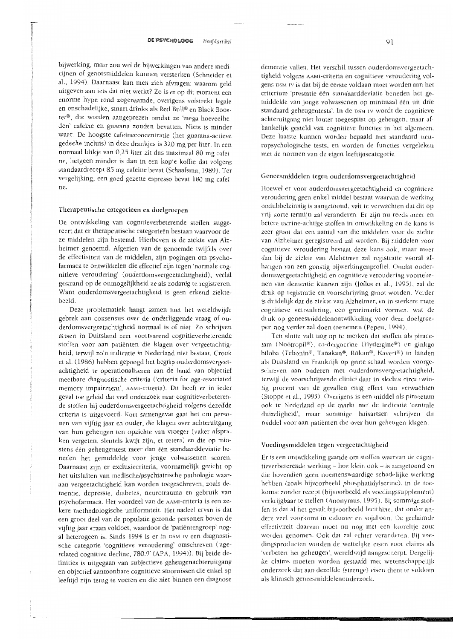bijwerking, maar zou wel de bijwerkingen van andere medicijnen of genotsmiddelen kunnen versterken (Schneider et al., 1994). Daarnaast kan men zich afvragen: waarom geld uitgeven aan iets dat niet werkt? Zo is er op dit moment een enorme hype rond zogenaamde, overigens volstrekt legale en onschadelijke, smart drinks als Red Bull® en Black Booster®, die worden aangeprezen omdat ze 'mega-hoeveelheden' cafeïne en guarana zouden bevatten. Niets is minder waar. De hoogste cafeïneconcentratie (het guarana-actieve gedeelte incluis) in deze drankjes is 320 mg per liter. In een normaal blikje van 0,25 liter zit dus maximaal 80 mg cafeïne, hetgeen minder is dan in een kopje koffie dat volgens standaardrecept 85 mg cafeïne bevat (Schaafsma, 1989). Ter vergelijking, een goed gezette espresso bevat 180 mg cafei $ne$ 

## Therapeutische categorieën en doelgroepen

De ontwikkeling van cognitieverbeterende stoffen suggereert dat er therapeutische categorieën bestaan waarvoor deze middelen zijn bestemd. Hierboven is de ziekte van Alzheimer genoemd. Afgezien van de genoemde twijfels over de effectiviteit van de middelen, zijn pogingen om psychofarmaca te ontwikkelen die effectief zijn tegen 'normale cognitieve veroudering' (ouderdomsvergeetachtigheid), veelal gestrand op de onmogelijkheid ze als zodanig te registreren. Want ouderdomsvergeetachtigheid is geen erkend ziektebeeld.

Deze problematiek hangt samen met het wereldwijde gebrek aan consensus over de onderliggende vraag of ouderdomsvergeetachtigheid normaal is of niet. Zo schrijven artsen in Duitsland zeer voortvarend cognitieverbeterende stoffen voor aan patiënten die klagen over vergeetachtigheid, terwijl zo'n indicatie in Nederland niet bestaat. Crook et al. (1986) hebben gepoogd het begrip ouderdomsvergeetachtigheid te operationaliseren aan de hand van objectief meetbare diagnostische criteria ('criteria for age-associated memory impairment', AAMI-criteria). Dit heeft er in ieder geval toe geleid dat veel onderzoek naar cognitieverbeterende stoffen bij ouderdomsvergeetachtigheid volgens dezelfde criteria is uitgevoerd. Kort samengevat gaat het om personen van vijftig jaar en ouder, die klagen over achteruitgang van hun geheugen ten opzichte van vroeger (vaker afspraken vergeten, sleutels kwijt zijn, et cetera) en die op minstens één geheugentest meer dan één standaarddeviatie beneden het gemiddelde voor jonge volwassenen scoren. Daarnaast zijn er exclusiecriteria, voornamelijk gericht op het uitsluiten van medische/psychiatrische pathologie waaraan vergeetachtigheid kan worden toegeschreven, zoals dementie, depressie, diabetes, neurotrauma en gebruik van psychofarmaca. Het voordeel van de AAMI-criteria is een zekere methodologische uniformiteit. Het nadeel ervan is dat een groot deel van de populatie gezonde personen boven de vijftig jaar eraan voldoet, waardoor de 'patiëntengroep' nogal heterogeen is. Sinds 1994 is er in DSM IV een diagnostische categorie 'cognitieve veroudering' omschreven ('agerelated cognitive decline, 780.9' (APA, 1994)). Bij beide definities is uitgegaan van subjectieve geheugenachteruitgang en objectief aantoonbare cognitieve stoornissen die enkel op leeftijd zijn terug te voeren en die niet binnen een diagnose

dementie vallen. Het verschil tussen ouderdomsvergeetachtigheid volgens AAMi-criteria en cognitieve veroudering volgens DSM IV is dat bij de eerste voldaan moet worden aan het criterium 'prestatie één standaarddeviatie beneden het gemiddelde van jonge volwassenen op minimaal één uit drie standaard geheugentests'. In de DSM IV wordt de cognitieve achteruitgang niet louter toegespitst op geheugen, maar afhankelijk gesteld van cognitieve functies in het algemeen. Deze laatste kunnen worden bepaald met standaard neuropsychologische tests, en worden de functies vergeleken met de normen van de eigen leeftijdscategorie.

#### Geneesmiddelen tegen ouderdomsvergeetachtigheid

Hoewel er voor ouderdomsvergeetachtigheid en cognitieve veroudering geen enkel middel bestaat waarvan de werking ondubbelzinnig is aangetoond, valt te verwachten dat dit op vrij korte termijn zal veranderen. Er zijn nu reeds meer en betere tacrine-achtige stoffen in ontwikkeling en de kans is zeer groot dat een aantal van die middelen voor de ziekte van Alzheimer geregistreerd zal worden. Bij middelen voor cognitieve veroudering bestaat deze kans ook, maar meer dan bij de ziekte van Alzheimer zal registratie vooral afhangen van een gunstig bijwerkingenprofiel. Omdat ouderdomsvergeetachtigheid en cognitieve veroudering voortekenen van dementie kunnen zijn (Jolles et al., 1995), zal de druk op registratie en voorschrijving groot worden. Verder is duidelijk dat de ziekte van Alzheimer, en in sterkere mate cognitieve veroudering, een groeimarkt vormen, wat de druk op geneesmiddelenontwikkeling voor deze doelgroepen nog verder zal doen toenemen (Pepeu, 1994).

Ten slotte valt nog op te merken dat stoffen als piracetam (Noötropil®), co-dergocrine (Hydergine®) en ginkgo biloba (Tebonin®, Tanakan®, Rökan®, Kaveri®) in landen als Duitsland en Frankrijk op grote schaal worden voorgeschreven aan ouderen met ouderdomsvergeetachtigheid, terwijl de voorschrijvende clinici daar in slechts circa twintig procent van de gevallen enig effect van verwachten (Stoppe et al., 1995). Overigens is een middel als piracetam ook in Nederland op de markt met de indicatie 'centrale duizeligheid', maar sommige huisartsen schrijven dit middel voor aan patiënten die over hun geheugen klagen.

#### Voedingsmiddelen tegen vergeetachtigheid

Er is een ontwikkeling gaande om stoffen waarvan de cognitieverbeterende werking - hoe klein ook - is aangetoond en die bovendien geen noemenswaardige schadelijke werking hebben (zoals bijvoorbeeld phosphatidylserine), in de toekomst zonder recept (bijvoorbeeld als voedingssupplement) verkrijgbaar te stellen (Anonymus, 1995). Bij sommige stoffen is dat al het geval; bijvoorbeeld lecithine, dat onder andere veel voorkomt in eidooier en sojaboon. De geclaimde effectiviteit daarvan moet nu nog met een korreltje zout worden genomen. Ook dat zal echter veranderen. Bij voedingsproducten worden de wettelijke eisen voor claims als 'verbetert het geheugen', wereldwijd aangescherpt. Dergelijke claims moeten worden gestaafd met wetenschappelijk onderzoek dat aan dezelfde (strenge) eisen dient te voldoen als klinisch geneesmiddelenonderzoek.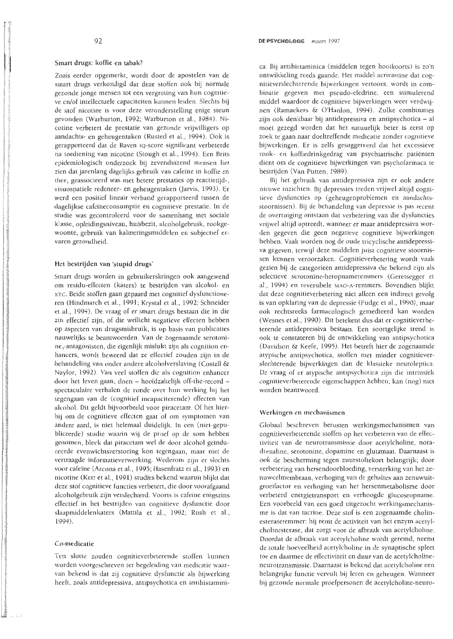## Smart drugs: koffie en tabak?

Zoals eerder opgemerkt, wordt door de apostelen van de smart drugs verkondigd dat deze stoffen ook bij normale gezonde jonge mensen tot een vergroting van hun cognitieve en/of intellectuele capaciteiten kunnen leiden. Slechts bij de stof nicotine is voor deze veronderstelling enige steun gevonden (Warburton, 1992; Warburton et al., 1984). Nicotine verbetert de prestatie van gezonde vrijwilligers op aandachts- en geheugentaken (Rusted et al., 1994). Ook is gerapporteerd dat de Raven 1Q-score significant verbeterde na toediening van nicotine (Stough et al., 1994). Een Brits epidemiologisch onderzoek bij zevenduizend mensen liet zien dat jarenlang dagelijks gebruik van cafeïne in koffie en thee, geassocieerd was met betere prestaties op reactietijd-, visuospatiele redeneer- en geheugentaken (Jarvis, 1993). Er werd een positief lineair verband gerapporteerd tussen de dagelijkse cafeïneconsumptie en cognitieve prestatie. In de studie was gecontroleerd voor de samenhang met sociale klasse, opleidingsniveau, huisbezit, alcoholgebruik, rookgewoonte, gebruik van kalmeringsmiddelen en subjectief ervaren gezondheid.

#### Het bestrijden van 'stupid drugs'

Smart drugs worden in gebruikerskringen ook aangewend om residu-effecten (katers) te bestrijden van alcohol- en xTC. Beide stoffen gaan gepaard met cognitief dysfunctioneren (Hindmarch et al., 1991; Krystal et al., 1992; Schneider et al., 1994). De vraag of er smart drugs bestaan die in die zin effectief zijn, of die wellicht negatieve effecten hebben op aspecten van drugsmisbruik, is op basis van publicaties nauwelijks te beantwoorden. Van de zogenaamde serotonine,-antagonisten, die eigenlijk mislukt zijn als cognition enhancers, wordt beweerd dat ze effectief zouden zijn in de behandeling van onder andere alcoholverslaving (Costall & Naylor, 1992). Van veel stoffen die als cognition enhancer door het leven gaan, doen - hoofdzakelijk off-the-record spectaculaire verhalen de ronde over hun werking bij het tegengaan van de (cognitief incapaciterende) effecten van alcohol. Dit geldt bijvoorbeeld voor piracetam. Of het hierbij om de cognitieve effecten gaat of om symptomen van andere aard, is niet helemaal duidelijk. In een (niet-gepubliceerde) studie waarin wij de proef op de som hebben genomen, bleek dat piracetam wel de door alcohol geïnduceerde evenwichtsverstoring kon tegengaan, maar niet de vertraagde informatieverwerking. Wederom zijn er slechts voor cafeïne (Azcona et al., 1995; Hasenfratz et al., 1993) en nicotine (Kerr et al., 1991) studies bekend waaruit blijkt dat deze stof cognitieve functies verbetert, die door voorafgaand alcoholgebruik zijn verslechterd. Voorts is cafeïne enigszins effectief in het bestrijden van cognitieve dysfunctie door slaapmiddelenkaters (Mattila et al., 1992; Rush et al., 1994).

## Co-medicatie

Ten slotte zouden cognitieverbeterende stoffen kunnen worden voorgeschreven ter begeleiding van medicatie waarvan bekend is dat zij cognitieve dysfunctie als bijwerking heeft, zoals antidepressiva, antipsychotica en antihistaminica. Bij antihistaminica (middelen tegen hooikoorts) is zo'n ontwikkeling reeds gaande. Het middel acrivastine dat cognitieverslechterende bijwerkingen vertoont, wordt in combinatie gegeven met pseudo-efedrine, een stimulerend middel waardoor de cognitieve bijwerkingen weer verdwijnen (Ramaekers & O'Hanlon, 1994). Zulke combinaties zijn ook denkbaar bij antidepressiva en antipsychotica - al moet gezegd worden dat het natuurlijk beter is eerst op zoek te gaan naar doeltreffende medicatie zonder cognitieve bijwerkingen. Er is zelfs gesuggereerd dat het excessieve rook- en koffiedrinkgedrag van psychiatrische patiënten dient om de cognitieve bijwerkingen van psychofarmaca te bestrijden (Van Putten, 1989).

Bij het gebruik van antidepressiva zijn er ook andere nieuwe inzichten. Bij depressies treden vrijwel altijd cognitieve dysfuncties op (geheugenproblemen en aandachtsstoornissen). Bij de behandeling van depressie is pas recent de overtuiging ontstaan dat verbetering van die dysfuncties vrijwel altijd optreedt, wanneer er maar antidepressiva worden gegeven die geen negatieve cognitieve bijwerkingen hebben. Vaak worden nog de oude tricyclische antidepressiva gegeven, terwijl deze middelen juist cognitieve stoornissen kunnen veroorzaken. Cognitieverbetering wordt vaak gezien bij de categorieën antidepressiva die bekend zijn als selectieve serotonine-heropnameremmers (Geretsegger et al., 1994) en reversibele MAO-A-remmers. Bovendien blijkt dat deze cognitieverbetering niet alleen een indirect gevolg is van opklaring van de depressie (Fudge et al., 1990), maar ook rechtsreeks farmacologisch gemedieerd kan worden (Wesnes et al., 1990). Dit betekent dus dat er cognitieverbeterende antidepressiva bestaan. Een soortgelijke trend is ook te constateren bij de ontwikkeling van antipsychotica (Davidson & Keefe, 1995). Het betreft hier de zogenaamde atypische antipsychotica, stoffen met minder cognitieverslechterende bijwerkingen dan de klassieke neuroleptica. De vraag of er atypische antipsychotica zijn die intrinsiek cognitieverbeterende eigenschappen hebben, kan (nog) niet worden beantwoord.

## Werkingen en mechanismen

Globaal beschreven berusten werkingsmechanismen van cognitieverbeterende stoffen op het verbeteren van de effectiviteit van de neurotransmissie door acetylcholine, noradrenaline, serotonine, dopamine en glutamaat. Daarnaast is ook de bescherming tegen zuurstoftekort belangrijk; door verbetering van hersendoorbloeding, versterking van het zenuwcelmembraan, verhoging van de gehaltes aan zenuwuitgroeifactor en verhoging van het hersenmetabolisme door verbeterd energietransport en verhoogde glucoseopname. Een voorbeeld van een goed uitgezocht werkingsmechanisme is dat van tacrine. Deze stof is een zogenaamde cholinesteraseremmer: hij remt de activiteit van het enzym acetylcholinesterase, dat zorgt voor de afbraak van acetylcholine. Doordat de afbraak van acetylcholine wordt geremd, neemt de totale hoeveelheid acetylcholine in de synaptische spleet toe en daarmee de effectiviteit en duur van de acetylcholineneurotransmissie. Daarnaast is bekend dat acetylcholine een belangrijke functie vervult bij leren en geheugen. Wanneer bij gezonde normale proefpersonen de acetylcholine-neuro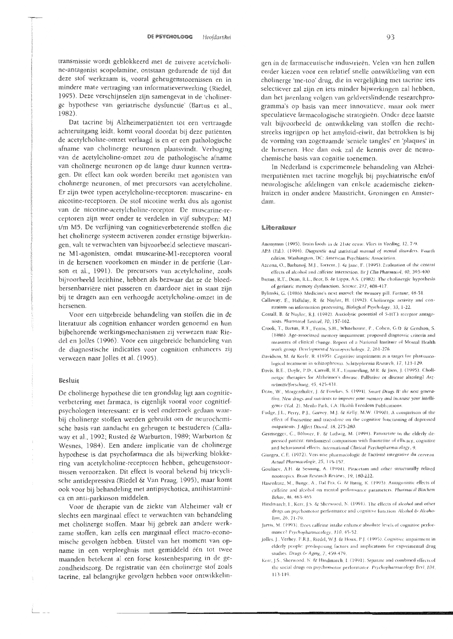transmissie wordt geblokkeerd met de zuivere acetylcholine-antagonist scopolamine, ontstaan gedurende de tijd dat deze stof werkzaam is, vooral geheugenstoornissen en in mindere mate vertraging van informatieverwerking (Riedel, 1995). Deze verschijnselen zijn samengevat in de 'cholinerge hypothese van geriatrische dysfunctie' (Bartus et al., 1982).

Dat tacrine bij Alzheimerpatiënten tot een vertraagde achteruitgang leidt, komt vooral doordat bij deze patiënten de acetylcholine-omzet verlaagd is en er een pathologische afname van cholinerge neuronen plaatsvindt. Verhoging van de acetylcholine-omzet zou de pathologische afname van cholinerge neuronen op de lange duur kunnen vertragen. Dit effect kan ook worden bereikt met agonisten van cholinerge neuronen, of met precursors van acetylcholine. Er zijn twee typen acetylcholine-receptoren: muscarine- en nicotine-receptoren. De stof nicotine werkt dus als agonist van de nicotine-acetylcholine-receptor. De muscarine-receptoren zijn weer onder te verdelen in vijf subtypen: M1 t/m M5. De verfijning van cognitieverbeterende stoffen die het cholinerge systeem activeren zonder ernstige bijwerkingen, valt te verwachten van bijvoorbeeld selectieve muscarine M1-agonisten, omdat muscarine-M1-receptoren vooral in de hersenen voorkomen en minder in de periferie (Larson et al., 1991). De precursors van acetylcholine, zoals bijvoorbeeld lecithine, hebben als bezwaar dat ze de bloedhersenbarrière niet passeren en daardoor niet in staat zijn bij te dragen aan een verhoogde acetylcholine-omzet in de hersenen.

Voor een uitgebreide behandeling van stoffen die in de literatuur als cognition enhancer worden genoemd en hun bijbehorende werkingsmechanismen zij verwezen naar Riedel en Jolles (1996). Voor een uitgebreide behandeling van de diagnostische indicaties voor cognition enhancers zij verwezen naar Jolles et al. (1995).

#### Besluit

De cholinerge hypothese die ten grondslag ligt aan cognitieverbetering met farmaca, is eigenlijk vooral voor cognitiefpsychologen interessant: er is veel onderzoek gedaan waarbij cholinerge stoffen werden gebruikt om de neurochemische basis van aandacht en geheugen te bestuderen (Callaway et al., 1992: Rusted & Warburton, 1989; Warburton & Wesnes, 1984). Een andere implicatie van de cholinerge hypothese is dat psychofarmaca die als bijwerking blokkering van acetylcholine-receptoren hebben, geheugenstoornissen veroorzaken. Dit effect is vooral bekend bij tricyclische antidepressiva (Riedel & Van Praag, 1995), maar komt ook voor bij behandeling met antipsychotica, antihistaminica en anti-parkinson middelen.

Voor de therapie van de ziekte van Alzheimer valt er slechts een marginaal effect te verwachten van behandeling met cholinerge stoffen. Maar bij gebrek aan andere werkzame stoffen, kan zelfs een marginaal effect macro-economische gevolgen hebben. Uitstel van het moment van opname in een verpleeghuis met gemiddeld één tot twee maanden betekent al een forse kostenbesparing in de gezondheidszorg. De registratie van één cholinerge stof zoals tacrine, zal belangrijke gevolgen hebben voor ontwikkelingen in de farmaceutische industrieën. Velen van hen zullen eerder kiezen voor een relatief snelle ontwikkeling van een cholinerge 'me-too' drug, die in vergelijking met tacrine iets selectiever zal zijn en iets minder bijwerkingen zal hebben, dan het jarenlang volgen van geldverslindende researchprogramma's op basis van meer innovatieve, maar ook meer speculatieve farmacologische strategieën. Onder deze laatste valt bijvoorbeeld de ontwikkeling van stoffen die rechtstreeks ingrijpen op het amyloid-eiwit, dat betrokken is bij de vorming van zogenaamde 'seniele tangles' en 'plaques' in de hersenen. Hoe dan ook zal de kennis over de neurochemische basis van cognitie toenemen.

In Nederland is experimentele behandeling van Alzheimerpatiënten met tacrine mogelijk bij psychiatrische en/of neurologische afdelingen van enkele academische ziekenhuizen in onder andere Maastricht, Groningen en Amsterdam.

#### Literatuur

- Anonymus (1995), Brain foods in de 21ste eeuw. Vlees in Voeding, 12, 7-9
- APA (Ed.). (1994). Diagnostic and statistical manual of mental disorders. Fourth edition. Washington, DC: American Psychiatric Association.
- Azcona, O., Barbanoj, M.J., Torrent, J. & Jane, F. (1995). Evaluation of the central effects of alcohol and caffeine interaction. Br J Clin Pharmacol, 40, 393-400.
- Bartus, R.T., Dean, R.L., Beer, B. & Lippa, A.S. (1982). The cholinergic hypothesis of geriatric memory dysfunction. Science, 217, 408-417.
- Bylinski, G. (1986). Medicine's next marvel: the memory pill. Fortune, 48-51.
- Callaway, E., Halliday, R. & Naylor, H. (1992). Cholinergic activity and constraints on information processing. Biological Psychology, 33, 1-22.
- Costall, B. & Naylor, R.J. (1992). Anxiolytic potential of 5-HT3 receptor antagonists. Pharmacol Toxicol, 70, 157-162.
- Crook, T., Bartus, R.T., Ferris, S.H., Whitchouse, P., Cohen, G.D. & Gershon, S. (1986). Age-associated memory impairment: proposed diagnostic criteria and measures of clinical change. Report of a National Institute of Mental Health work group. Developmental Neuropsychology, 2, 261-276.
- Davidson, M. & Keefe, R. (1995). Cognitive impairment as a target for pharmacological treatment in schizophrenia. Schizophrenia Research, 17, 123-129.
- Davis, R.E., Doyle, P.D., Carroll, R.T., Emmerling, M.R. & Jaen, J. (1995). Cholinergic therapies for Alzheimer's disease. Palliative or disease altering? Arzneimittelforschung, 45, 425-431.
- Dean, W., Morgenthaler, J. & Fowkes, S. (1993). Smart Drugs II: the next generation. New drugs and nutrients to improve your memory and increase your intelligence (Vol. 2), Menlo Park, CA: Health Freedom Publications.
- Fudge, LL., Perry, P.J., Garvey, M.J. & Kelly, M.W. (1990). A comparison of the effect of fluoxetine and trazodone on the cognitive functioning of depressed outpatients. J Affect Disord, 18, 275-280.
- Geretsegger, C., Böhmer, F. & Ludwig, M. (1994). Paroxetine in the elderly depressed patient: randomized comparison with fluoxetine of efficacy, cognitive and behavioural effects. International Clinical Psychopharmacology, 9.
- Giurgea, C.E. (1972). Vers une pharmacologie de l'activité integrative du cerveau Actual Pharmacologie, 25, 115-157.
- Gouliaev, A.H. & Senning, A. (1994). Piracetam and other structurally related nootropics. Brain Research Reviews, 19, 180-222.
- Hasenfratz, M., Bunge, A., Dal Pra, G. & Battig, K. (1993). Antagonistic effects of caffeine and alcohol on mental performance parameters. Pharmacol Biochem Behav. 46, 463-465
- Hindmarch, L., Kerr, J.S. & Sherwood, N. (1991). The effects of alcohol and other drugs on psychomotor performance and cognitive function. Alcohol & Alcoholism, 26, 71-79
- Jarvis, M. (1993). Does caffeine intake enhance absolute levels of cognitive performance? Psychopharmacology, 110, 45-52.
- Jolles, J., Verhey, F.R.J., Riedel, W.J. & Houx, P.J. (1995). Cognitive impairment in elderly people: predisposing factors and implications for experimental drug studies. Drugs & Aging, 7, 459-479.
- Kerr, I.S., Sherwood, N. & Hindmarch, I. (1991). Separate and combined effects of the social drugs on psychomotor performance. Psychopharmacology Berl, 104. 113.110